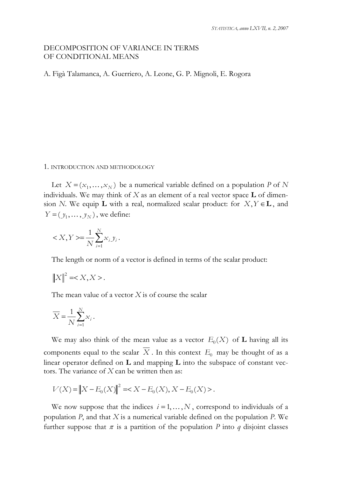# DECOMPOSITION OF VARIANCE IN TERMS OF CONDITIONAL MEANS

A. Figà Talamanca, A. Guerriero, A. Leone, G. P. Mignoli, E. Rogora

#### 1. INTRODUCTION AND METHODOLOGY

Let  $X = (x_1, \dots, x_N)$  be a numerical variable defined on a population *P* of *N* individuals. We may think of *X* as an element of a real vector space **L** of dimension *N*. We equip **L** with a real, normalized scalar product: for  $X, Y \in \mathbf{L}$ , and  $Y = (y_1, \dots, y_N)$ , we define:

$$
\langle X, Y \rangle = \frac{1}{N} \sum_{i=1}^{N} x_i y_i.
$$

The length or norm of a vector is defined in terms of the scalar product:

$$
||X||^2 = .
$$

The mean value of a vector *X* is of course the scalar

$$
\overline{X} = \frac{1}{N} \sum_{i=1}^{N} x_i.
$$

We may also think of the mean value as a vector  $E_0(X)$  of **L** having all its components equal to the scalar  $\overline{X}$ . In this context  $E_0$  may be thought of as a linear operator defined on **L** and mapping **L** into the subspace of constant vectors. The variance of *X* can be written then as:

$$
V(X) = \|X - E_0(X)\|^2 = \langle X - E_0(X), X - E_0(X) \rangle.
$$

We now suppose that the indices  $i = 1, ..., N$ , correspond to individuals of a population *P*, and that *X* is a numerical variable defined on the population *P*. We further suppose that  $\pi$  is a partition of the population *P* into *q* disjoint classes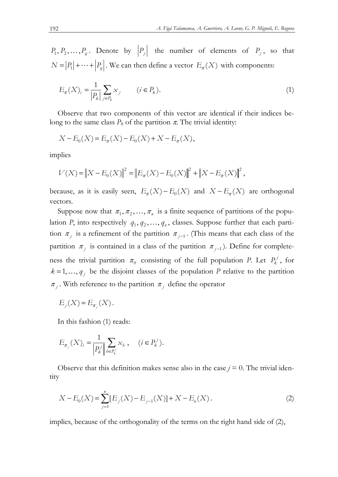$P_1, P_2, \ldots, P_q$ . Denote by  $|P_j|$  the number of elements of  $P_j$ , so that  $N = |P_1| + \cdots + |P_q|$ . We can then define a vector  $E_\pi(X)$  with components:

$$
E_{\pi}(X)_{i} = \frac{1}{|P_{k}|} \sum_{j \in P_{k}} x_{j} \qquad (i \in P_{k}).
$$
\n(1)

Observe that two components of this vector are identical if their indices belong to the same class  $P_k$  of the partition  $\pi$ . The trivial identity:

$$
X - E_0(X) = E_{\pi}(X) - E_0(X) + X - E_{\pi}(X),
$$

implies

$$
V(X) = \|X - E_0(X)\|^2 = \|E_\pi(X) - E_0(X)\|^2 + \|X - E_\pi(X)\|^2,
$$

because, as it is easily seen,  $E_{\pi}(X) - E_0(X)$  and  $X - E_{\pi}(X)$  are orthogonal vectors.

Suppose now that  $\pi_1, \pi_2, ..., \pi_n$  is a finite sequence of partitions of the population *P*, into respectively  $q_1, q_2, ..., q_n$ , classes. Suppose further that each partition  $\pi_i$  is a refinement of the partition  $\pi_{i-1}$ . (This means that each class of the partition  $\pi_j$  is contained in a class of the partition  $\pi_{j-1}$ ). Define for completeness the trivial partition  $\pi_0$  consisting of the full population *P*. Let  $P_k^j$ , for  $k = 1, \ldots, q_i$  be the disjoint classes of the population *P* relative to the partition  $\pi_i$ . With reference to the partition  $\pi_j$  define the operator

$$
E_j(X) = E_{\pi_j}(X).
$$

In this fashion (1) reads:

$$
E_{\pi_j}(X)_i = \frac{1}{|P_k^j|} \sum_{b \in P_k^j} x_b , \quad (i \in P_k^j).
$$

Observe that this definition makes sense also in the case  $j = 0$ . The trivial identity

$$
X - E_0(X) = \sum_{j=1}^{n} [E_j(X) - E_{j-1}(X)] + X - E_n(X).
$$
 (2)

implies, because of the orthogonality of the terms on the right hand side of (2),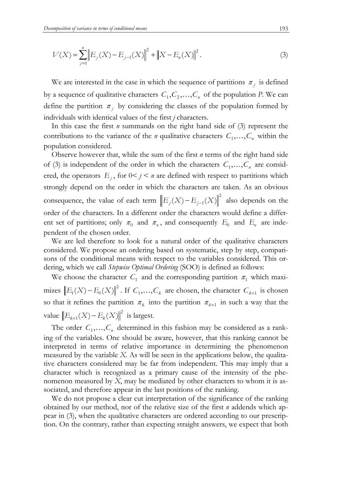$$
V(X) = \sum_{j=1}^{n} \left\| E_j(X) - E_{j-1}(X) \right\|^2 + \left\| X - E_n(X) \right\|^2.
$$
 (3)

We are interested in the case in which the sequence of partitions  $\pi_i$  is defined by a sequence of qualitative characters  $C_1, C_2, ..., C_n$  of the population *P*. We can define the partition  $\pi_j$  by considering the classes of the population formed by individuals with identical values of the first *j* characters.

In this case the first *n* summands on the right hand side of (3) represent the contributions to the variance of the *n* qualitative characters  $C_1, \ldots, C_n$  within the population considered.

Observe however that, while the sum of the first *n* terms of the right hand side of (3) is independent of the order in which the characters  $C_1, \ldots, C_n$  are considered, the operators  $E_j$ , for  $0 \le j \le n$  are defined with respect to partitions which strongly depend on the order in which the characters are taken. As an obvious consequence, the value of each term  $||E_j(X) - E_{j-1}(X)||^2$  also depends on the order of the characters. In a different order the characters would define a different set of partitions; only  $\pi_0$  and  $\pi_n$ , and consequently  $E_0$  and  $E_n$  are independent of the chosen order.

We are led therefore to look for a natural order of the qualitative characters considered. We propose an ordering based on systematic, step by step, comparisons of the conditional means with respect to the variables considered. This ordering, which we call *Stepwise Optimal Ordering* (SOO) is defined as follows:

We choose the character  $C_1$  and the corresponding partition  $\pi_1$  which maximizes  $||E_1(X) - E_0(X)||^2$ . If  $C_1, ..., C_k$  are chosen, the character  $C_{k+1}$  is chosen so that it refines the partition  $\pi_k$  into the partition  $\pi_{k+1}$  in such a way that the value  $||E_{k+1}(X) - E_k(X)||^2$  is largest.

The order  $C_1, \ldots, C_n$  determined in this fashion may be considered as a ranking of the variables. One should be aware, however, that this ranking cannot be interpreted in terms of relative importance in determining the phenomenon measured by the variable *X*. As will be seen in the applications below, the qualitative characters considered may be far from independent. This may imply that a character which is recognized as a primary cause of the intensity of the phenomenon measured by *X*, may be mediated by other characters to whom it is associated, and therefore appear in the last positions of the ranking.

We do not propose a clear cut interpretation of the significance of the ranking obtained by our method, nor of the relative size of the first *n* addends which appear in (3), when the qualitative characters are ordered according to our prescription. On the contrary, rather than expecting straight answers, we expect that both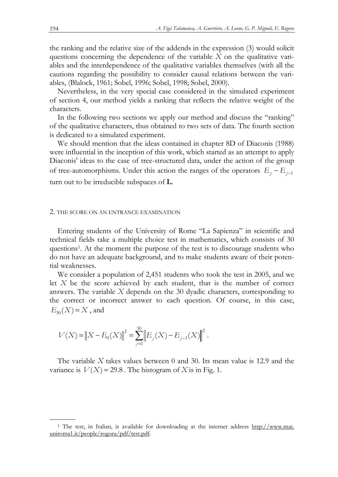the ranking and the relative size of the addends in the expression (3) would solicit questions concerning the dependence of the variable *X* on the qualitative variables and the interdependence of the qualitative variables themselves (with all the cautions regarding the possibility to consider causal relations between the variables, (Blalock, 1961; Sobel, 1996; Sobel, 1998; Sobel, 2000).

Nevertheless, in the very special case considered in the simulated experiment of section 4, our method yields a ranking that reflects the relative weight of the characters.

In the following two sections we apply our method and discuss the "ranking" of the qualitative characters, thus obtained to two sets of data. The fourth section is dedicated to a simulated experiment.

We should mention that the ideas contained in chapter 8D of Diaconis (1988) were influential in the inception of this work, which started as an attempt to apply Diaconis' ideas to the case of tree-structured data, under the action of the group of tree-automorphisms. Under this action the ranges of the operators  $E_j - E_{j-1}$ turn out to be irreducible subspaces of **L**.

#### 2. THE SCORE ON AN ENTRANCE EXAMINATION

Entering students of the University of Rome "La Sapienza" in scientific and technical fields take a multiple choice test in mathematics, which consists of 30 questions1. At the moment the purpose of the test is to discourage students who do not have an adequate background, and to make students aware of their potential weaknesses.

We consider a population of 2,451 students who took the test in 2005, and we let *X* be the score achieved by each student, that is the number of correct answers. The variable *X* depends on the 30 dyadic characters, corresponding to the correct or incorrect answer to each question. Of course, in this case,  $E_{30}(X) = X$ , and

$$
V(X) = \|X - E_0(X)\|^2 = \sum_{j=1}^{30} \|E_j(X) - E_{j-1}(X)\|^2.
$$

The variable *X* takes values between 0 and 30. Its mean value is 12.9 and the variance is  $V(X) = 29.8$ . The histogram of *X* is in Fig. 1.

 <sup>1</sup> The test, in Italian, is available for downloading at the internet address http://www.mat. uniroma1.it/people/rogora/pdf/test.pdf.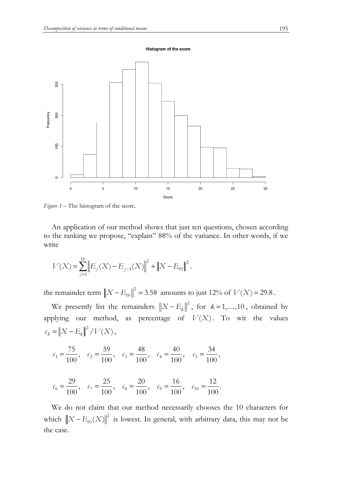Histogram of the score



*Figure 1* – The histogram of the score.

An application of our method shows that just ten questions, chosen according to the ranking we propose, "explain" 88% of the variance. In other words, if we write

$$
V(X) = \sum_{j=1}^{10} \|E_j(X) - E_{j-1}(X)\|^2 + \|X - E_{10}\|^2.
$$

the remainder term  $||X - E_{10}||^2 = 3.58$  amounts to just 12% of  $V(X) = 29.8$ .

We presently list the remainders  $||X - E_k||^2$ , for  $k = 1, ..., 10$ , obtained by applying our method, as percentage of  $V(X)$ . To wit the values  $c_k = \|X - E_k\|^2 / V(X),$ 

$$
c_1 = \frac{75}{100}
$$
,  $c_2 = \frac{59}{100}$ ,  $c_3 = \frac{48}{100}$ ,  $c_4 = \frac{40}{100}$ ,  $c_5 = \frac{34}{100}$ ,

$$
c_6 = \frac{29}{100}
$$
,  $c_7 = \frac{25}{100}$ ,  $c_8 = \frac{20}{100}$ ,  $c_9 = \frac{16}{100}$ ,  $c_{10} = \frac{12}{100}$ .

We do not claim that our method necessarily chooses the 10 characters for which  $||X - E_{10}(X)||^2$  is lowest. In general, with arbitrary data, this may not be the case.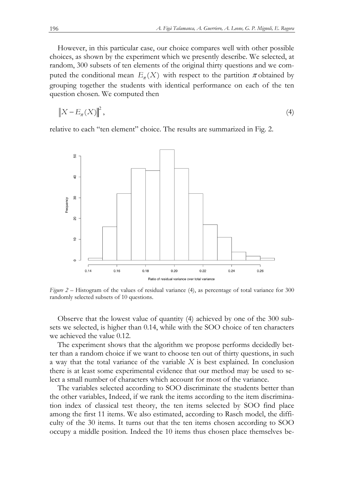However, in this particular case, our choice compares well with other possible choices, as shown by the experiment which we presently describe. We selected, at random, 300 subsets of ten elements of the original thirty questions and we computed the conditional mean  $E_\pi(X)$  with respect to the partition  $\pi$  obtained by grouping together the students with identical performance on each of the ten question chosen. We computed then

$$
\left\|X - E_{\pi}(X)\right\|^{2},\tag{4}
$$

relative to each "ten element" choice. The results are summarized in Fig. 2.



*Figure 2* – Histogram of the values of residual variance (4), as percentage of total variance for 300 randomly selected subsets of 10 questions.

Observe that the lowest value of quantity (4) achieved by one of the 300 subsets we selected, is higher than 0.14, while with the SOO choice of ten characters we achieved the value 0.12.

The experiment shows that the algorithm we propose performs decidedly better than a random choice if we want to choose ten out of thirty questions, in such a way that the total variance of the variable *X* is best explained. In conclusion there is at least some experimental evidence that our method may be used to select a small number of characters which account for most of the variance.

The variables selected according to SOO discriminate the students better than the other variables, Indeed, if we rank the items according to the item discrimination index of classical test theory, the ten items selected by SOO find place among the first 11 items. We also estimated, according to Rasch model, the difficulty of the 30 items. It turns out that the ten items chosen according to SOO occupy a middle position. Indeed the 10 items thus chosen place themselves be-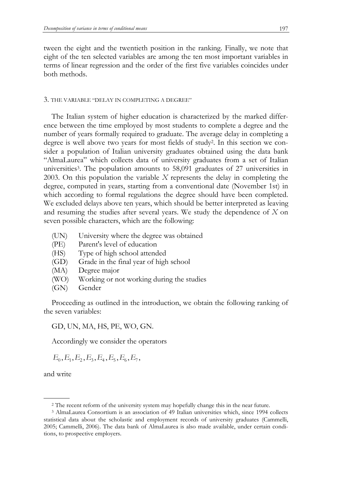tween the eight and the twentieth position in the ranking. Finally, we note that eight of the ten selected variables are among the ten most important variables in terms of linear regression and the order of the first five variables coincides under both methods.

#### 3. THE VARIABLE "DELAY IN COMPLETING A DEGREE"

The Italian system of higher education is characterized by the marked difference between the time employed by most students to complete a degree and the number of years formally required to graduate. The average delay in completing a degree is well above two years for most fields of study2. In this section we consider a population of Italian university graduates obtained using the data bank "AlmaLaurea" which collects data of university graduates from a set of Italian universities<sup>3</sup>. The population amounts to 58,091 graduates of 27 universities in 2003. On this population the variable *X* represents the delay in completing the degree, computed in years, starting from a conventional date (November 1st) in which according to formal regulations the degree should have been completed. We excluded delays above ten years, which should be better interpreted as leaving and resuming the studies after several years. We study the dependence of *X* on seven possible characters, which are the following:

- (UN) University where the degree was obtained
- (PE) Parent's level of education
- (HS) Type of high school attended
- (GD) Grade in the final year of high school
- (MA) Degree major
- (WO) Working or not working during the studies
- (GN) Gender

Proceeding as outlined in the introduction, we obtain the following ranking of the seven variables:

GD, UN, MA, HS, PE, WO, GN.

Accordingly we consider the operators

 $E_0, E_1, E_2, E_3, E_4, E_5, E_6, E_7,$ 

and write

 <sup>2</sup> The recent reform of the university system may hopefully change this in the near future.

<sup>3</sup> AlmaLaurea Consortium is an association of 49 Italian universities which, since 1994 collects statistical data about the scholastic and employment records of university graduates (Cammelli, 2005; Cammelli, 2006). The data bank of AlmaLaurea is also made available, under certain conditions, to prospective employers.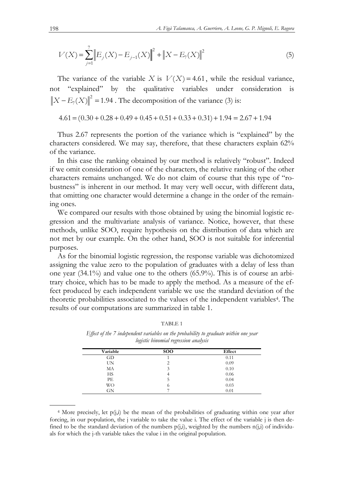$$
V(X) = \sum_{j=1}^{7} \left\| E_j(X) - E_{j-1}(X) \right\|^2 + \left\| X - E_7(X) \right\|^2 \tag{5}
$$

The variance of the variable *X* is  $V(X) = 4.61$ , while the residual variance, not "explained" by the qualitative variables under consideration is 2  $||X - E_{7}(X)||^{2} = 1.94$ . The decomposition of the variance (3) is:

 $4.61 = (0.30 + 0.28 + 0.49 + 0.45 + 0.51 + 0.33 + 0.31) + 1.94 = 2.67 + 1.94$ 

Thus 2.67 represents the portion of the variance which is "explained" by the characters considered. We may say, therefore, that these characters explain 62% of the variance.

In this case the ranking obtained by our method is relatively "robust". Indeed if we omit consideration of one of the characters, the relative ranking of the other characters remains unchanged. We do not claim of course that this type of "robustness" is inherent in our method. It may very well occur, with different data, that omitting one character would determine a change in the order of the remaining ones.

We compared our results with those obtained by using the binomial logistic regression and the multivariate analysis of variance. Notice, however, that these methods, unlike SOO, require hypothesis on the distribution of data which are not met by our example. On the other hand, SOO is not suitable for inferential purposes.

As for the binomial logistic regression, the response variable was dichotomized assigning the value zero to the population of graduates with a delay of less than one year (34.1%) and value one to the others (65.9%). This is of course an arbitrary choice, which has to be made to apply the method. As a measure of the effect produced by each independent variable we use the standard deviation of the theoretic probabilities associated to the values of the independent variables4. The results of our computations are summarized in table 1.

|--|--|

*Effect of the 7 independent variables on the probability to graduate within one year logistic binomial regression analysis* 

| Variable | <b>SOO</b> | Effect |
|----------|------------|--------|
| GD       |            | 0.11   |
| UN       | ◠          | 0.09   |
| MA       | 3          | 0.10   |
| HS       |            | 0.06   |
| PЕ       |            | 0.04   |
| WO       | $\circ$    | 0.03   |
| GN       |            | 0.01   |
|          |            |        |

 $4$  More precisely, let  $p(j,i)$  be the mean of the probabilities of graduating within one year after forcing, in our population, the j variable to take the value i. The effect of the variable j is then defined to be the standard deviation of the numbers  $p(j,i)$ , weighted by the numbers  $n(j,i)$  of individuals for which the j-th variable takes the value i in the original population.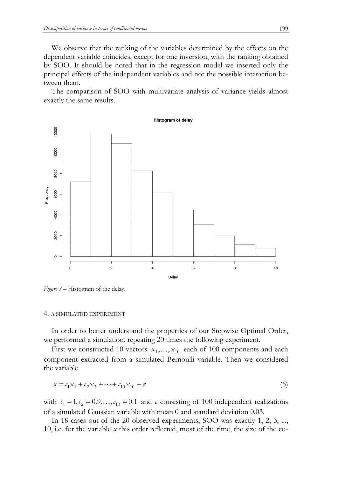We observe that the ranking of the variables determined by the effects on the dependent variable coincides, except for one inversion, with the ranking obtained by SOO. It should be noted that in the regression model we inserted only the principal effects of the independent variables and not the possible interaction between them.

The comparison of SOO with multivariate analysis of variance yields almost exactly the same results.



*Figure 3 –* Histogram of the delay.

### 4. A SIMULATED EXPERIMENT

In order to better understand the properties of our Stepwise Optimal Order, we performed a simulation, repeating 20 times the following experiment.

First we constructed 10 vectors  $x_1, \ldots, x_{10}$  each of 100 components and each component extracted from a simulated Bernoulli variable. Then we considered the variable

$$
x = c_1 x_1 + c_2 x_2 + \dots + c_{10} x_{10} + \varepsilon \tag{6}
$$

with  $c_1 = 1, c_2 = 0.9, \ldots, c_{10} = 0.1$  and  $\varepsilon$  consisting of 100 independent realizations of a simulated Gaussian variable with mean 0 and standard deviation 0.03.

In 18 cases out of the 20 observed experiments, SOO was exactly 1, 2, 3, ..., 10, i.e. for the variable  $x$  this order reflected, most of the time, the size of the co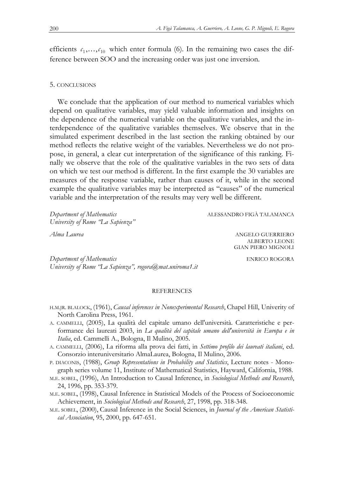efficients  $c_1, \ldots, c_{10}$  which enter formula (6). In the remaining two cases the difference between SOO and the increasing order was just one inversion.

## 5. CONCLUSIONS

We conclude that the application of our method to numerical variables which depend on qualitative variables, may yield valuable information and insights on the dependence of the numerical variable on the qualitative variables, and the interdependence of the qualitative variables themselves. We observe that in the simulated experiment described in the last section the ranking obtained by our method reflects the relative weight of the variables. Nevertheless we do not propose, in general, a clear cut interpretation of the significance of this ranking. Finally we observe that the role of the qualitative variables in the two sets of data on which we test our method is different. In the first example the 30 variables are measures of the response variable, rather than causes of it, while in the second example the qualitative variables may be interpreted as "causes" of the numerical variable and the interpretation of the results may very well be different.

*Department of Mathematics*  $\qquad \qquad \text{ALESSANDRO FIG\^{A} TALAMANCA}$ *University of Rome "La Sapienza"* 

ALBERTO LEONE GIAN PIERO MIGNOLI

*Alma Laurea* ANGELO GUERRIERO

*Department of Mathematics* ENRICO ROGORA *University of Rome "La Sapienza", rogora@mat.uniroma1.it* 

#### **REFERENCES**

- H.M.JR. BLALOCK, (1961), *Causal inferences in Nonexperimental Research*, Chapel Hill, Univerity of North Carolina Press, 1961.
- A. CAMMELLI, (2005), La qualità del capitale umano dell'università. Caratteristiche e performance dei laureati 2003, in *La qualità del capitale umano dell'università in Europa e in Italia*, ed. Cammelli A., Bologna, Il Mulino, 2005.
- A. CAMMELLI, (2006), La riforma alla prova dei fatti, in *Settimo profilo dei laureati italiani*, ed. Consorzio interuniversitario AlmaLaurea, Bologna, Il Mulino, 2006.
- P. DIACONIS, (1988), *Group Representations in Probability and Statistics*, Lecture notes Monograph series volume 11, Institute of Mathematical Statistics, Hayward, California, 1988.
- M.E. SOBEL, (1996), An Introduction to Causal Inference, in *Sociological Methods and Research*, 24, 1996, pp. 353-379.
- M.E. SOBEL, (1998), Causal Inference in Statistical Models of the Process of Socioeconomic Achievement, in *Sociological Methods and Research*, 27, 1998, pp. 318-348.
- M.E. SOBEL, (2000), Causal Inference in the Social Sciences, in *Journal of the American Statistical Association*, 95, 2000, pp. 647-651.